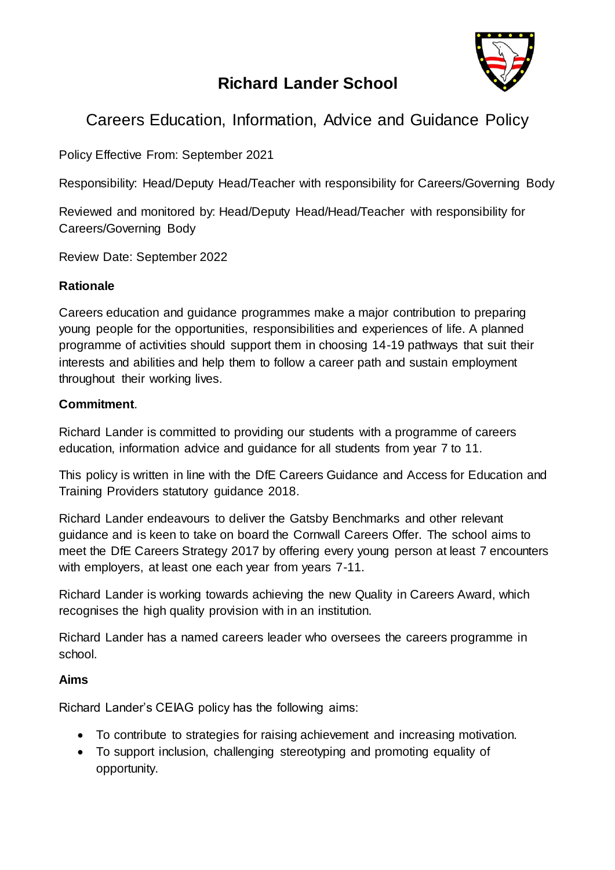

# **Richard Lander School**

# Careers Education, Information, Advice and Guidance Policy

Policy Effective From: September 2021

Responsibility: Head/Deputy Head/Teacher with responsibility for Careers/Governing Body

Reviewed and monitored by: Head/Deputy Head/Head/Teacher with responsibility for Careers/Governing Body

Review Date: September 2022

#### **Rationale**

Careers education and guidance programmes make a major contribution to preparing young people for the opportunities, responsibilities and experiences of life. A planned programme of activities should support them in choosing 14-19 pathways that suit their interests and abilities and help them to follow a career path and sustain employment throughout their working lives.

#### **Commitment**.

Richard Lander is committed to providing our students with a programme of careers education, information advice and guidance for all students from year 7 to 11.

This policy is written in line with the DfE Careers Guidance and Access for Education and Training Providers statutory guidance 2018.

Richard Lander endeavours to deliver the Gatsby Benchmarks and other relevant guidance and is keen to take on board the Cornwall Careers Offer. The school aims to meet the DfE Careers Strategy 2017 by offering every young person at least 7 encounters with employers, at least one each year from years 7-11.

Richard Lander is working towards achieving the new Quality in Careers Award, which recognises the high quality provision with in an institution.

Richard Lander has a named careers leader who oversees the careers programme in school.

# **Aims**

Richard Lander's CEIAG policy has the following aims:

- To contribute to strategies for raising achievement and increasing motivation.
- To support inclusion, challenging stereotyping and promoting equality of opportunity.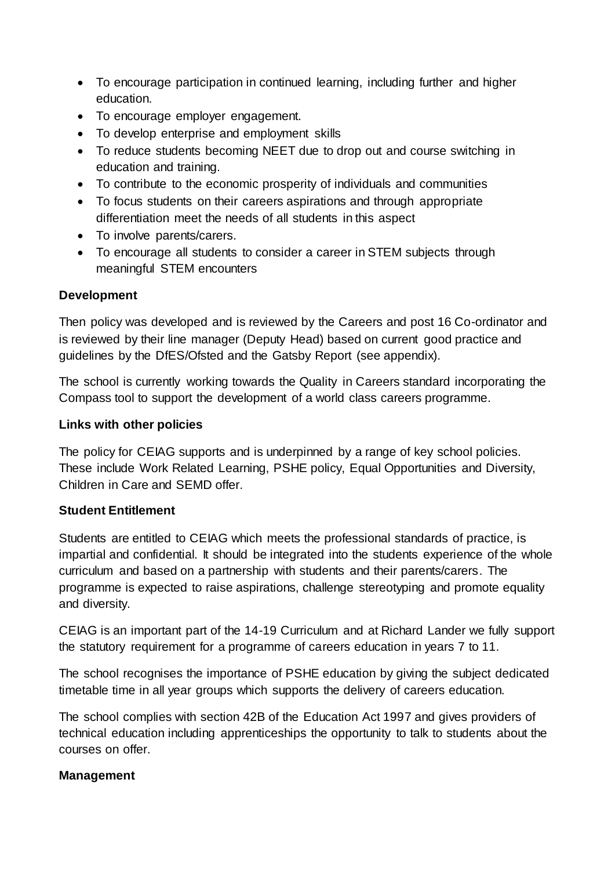- To encourage participation in continued learning, including further and higher education.
- To encourage employer engagement.
- To develop enterprise and employment skills
- To reduce students becoming NEET due to drop out and course switching in education and training.
- To contribute to the economic prosperity of individuals and communities
- To focus students on their careers aspirations and through appropriate differentiation meet the needs of all students in this aspect
- To involve parents/carers.
- To encourage all students to consider a career in STEM subjects through meaningful STEM encounters

# **Development**

Then policy was developed and is reviewed by the Careers and post 16 Co-ordinator and is reviewed by their line manager (Deputy Head) based on current good practice and guidelines by the DfES/Ofsted and the Gatsby Report (see appendix).

The school is currently working towards the Quality in Careers standard incorporating the Compass tool to support the development of a world class careers programme.

# **Links with other policies**

The policy for CEIAG supports and is underpinned by a range of key school policies. These include Work Related Learning, PSHE policy, Equal Opportunities and Diversity, Children in Care and SEMD offer.

# **Student Entitlement**

Students are entitled to CEIAG which meets the professional standards of practice, is impartial and confidential. It should be integrated into the students experience of the whole curriculum and based on a partnership with students and their parents/carers. The programme is expected to raise aspirations, challenge stereotyping and promote equality and diversity.

CEIAG is an important part of the 14-19 Curriculum and at Richard Lander we fully support the statutory requirement for a programme of careers education in years 7 to 11.

The school recognises the importance of PSHE education by giving the subject dedicated timetable time in all year groups which supports the delivery of careers education.

The school complies with section 42B of the Education Act 1997 and gives providers of technical education including apprenticeships the opportunity to talk to students about the courses on offer.

# **Management**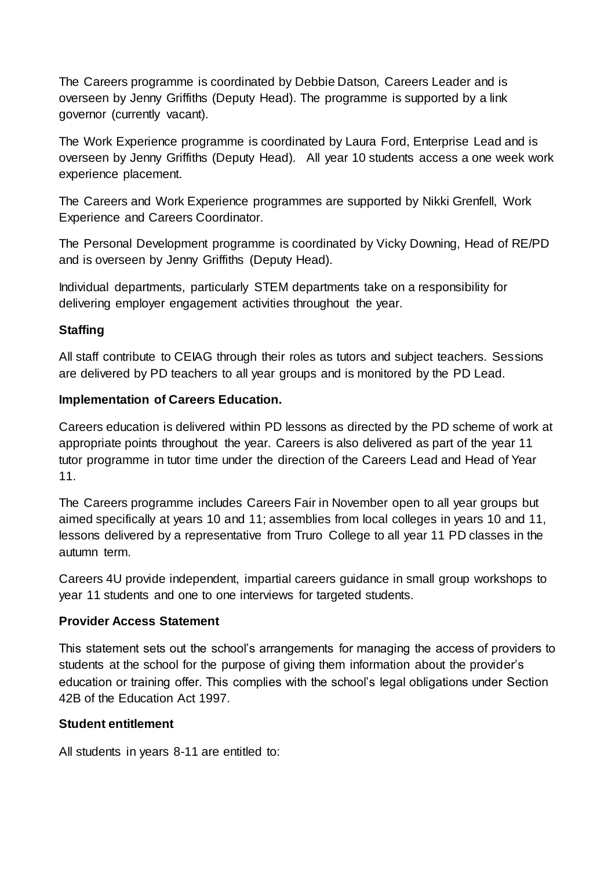The Careers programme is coordinated by Debbie Datson, Careers Leader and is overseen by Jenny Griffiths (Deputy Head). The programme is supported by a link governor (currently vacant).

The Work Experience programme is coordinated by Laura Ford, Enterprise Lead and is overseen by Jenny Griffiths (Deputy Head). All year 10 students access a one week work experience placement.

The Careers and Work Experience programmes are supported by Nikki Grenfell, Work Experience and Careers Coordinator.

The Personal Development programme is coordinated by Vicky Downing, Head of RE/PD and is overseen by Jenny Griffiths (Deputy Head).

Individual departments, particularly STEM departments take on a responsibility for delivering employer engagement activities throughout the year.

# **Staffing**

All staff contribute to CEIAG through their roles as tutors and subject teachers. Sessions are delivered by PD teachers to all year groups and is monitored by the PD Lead.

#### **Implementation of Careers Education.**

Careers education is delivered within PD lessons as directed by the PD scheme of work at appropriate points throughout the year. Careers is also delivered as part of the year 11 tutor programme in tutor time under the direction of the Careers Lead and Head of Year 11.

The Careers programme includes Careers Fair in November open to all year groups but aimed specifically at years 10 and 11; assemblies from local colleges in years 10 and 11, lessons delivered by a representative from Truro College to all year 11 PD classes in the autumn term.

Careers 4U provide independent, impartial careers guidance in small group workshops to year 11 students and one to one interviews for targeted students.

#### **Provider Access Statement**

This statement sets out the school's arrangements for managing the access of providers to students at the school for the purpose of giving them information about the provider's education or training offer. This complies with the school's legal obligations under Section 42B of the Education Act 1997.

# **Student entitlement**

All students in years 8-11 are entitled to: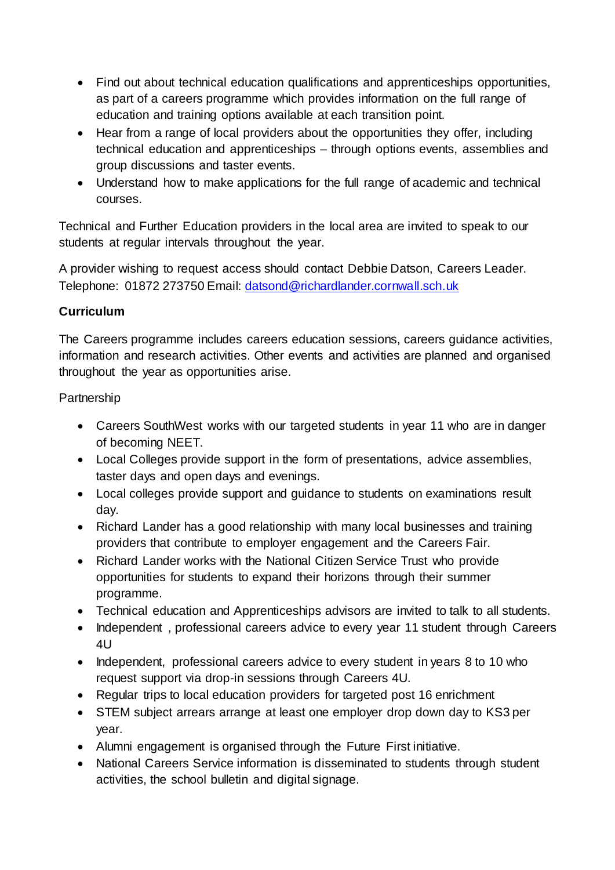- Find out about technical education qualifications and apprenticeships opportunities, as part of a careers programme which provides information on the full range of education and training options available at each transition point.
- Hear from a range of local providers about the opportunities they offer, including technical education and apprenticeships – through options events, assemblies and group discussions and taster events.
- Understand how to make applications for the full range of academic and technical courses.

Technical and Further Education providers in the local area are invited to speak to our students at regular intervals throughout the year.

A provider wishing to request access should contact Debbie Datson, Careers Leader. Telephone: 01872 273750 Email: [datsond@richardlander.cornwall.sch.uk](mailto:datsond@richardlander.cornwall.sch.uk)

# **Curriculum**

The Careers programme includes careers education sessions, careers guidance activities, information and research activities. Other events and activities are planned and organised throughout the year as opportunities arise.

# Partnership

- Careers SouthWest works with our targeted students in year 11 who are in danger of becoming NEET.
- Local Colleges provide support in the form of presentations, advice assemblies, taster days and open days and evenings.
- Local colleges provide support and guidance to students on examinations result day.
- Richard Lander has a good relationship with many local businesses and training providers that contribute to employer engagement and the Careers Fair.
- Richard Lander works with the National Citizen Service Trust who provide opportunities for students to expand their horizons through their summer programme.
- Technical education and Apprenticeships advisors are invited to talk to all students.
- Independent, professional careers advice to every year 11 student through Careers 4U
- Independent, professional careers advice to every student in years 8 to 10 who request support via drop-in sessions through Careers 4U.
- Regular trips to local education providers for targeted post 16 enrichment
- STEM subject arrears arrange at least one employer drop down day to KS3 per year.
- Alumni engagement is organised through the Future First initiative.
- National Careers Service information is disseminated to students through student activities, the school bulletin and digital signage.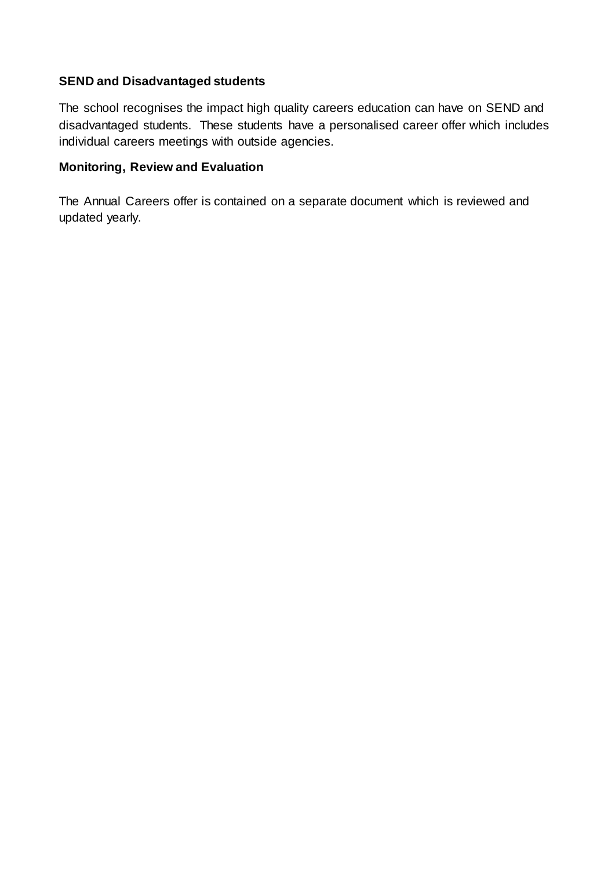# **SEND and Disadvantaged students**

The school recognises the impact high quality careers education can have on SEND and disadvantaged students. These students have a personalised career offer which includes individual careers meetings with outside agencies.

# **Monitoring, Review and Evaluation**

The Annual Careers offer is contained on a separate document which is reviewed and updated yearly.